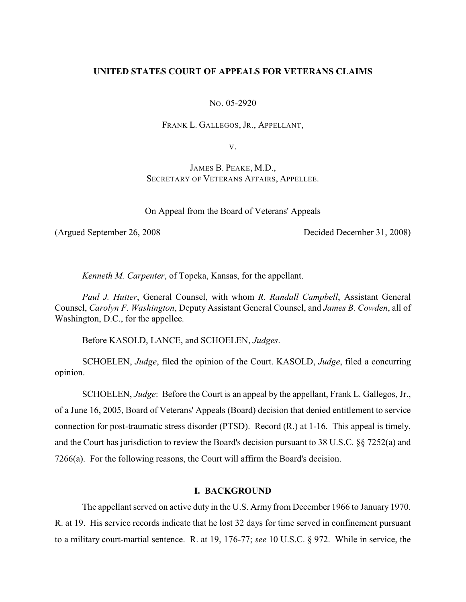# **UNITED STATES COURT OF APPEALS FOR VETERANS CLAIMS**

NO. 05-2920

FRANK L. GALLEGOS, JR., APPELLANT,

V.

JAMES B. PEAKE, M.D., SECRETARY OF VETERANS AFFAIRS, APPELLEE.

On Appeal from the Board of Veterans' Appeals

(Argued September 26, 2008 Decided December 31, 2008)

*Kenneth M. Carpenter*, of Topeka, Kansas, for the appellant.

*Paul J. Hutter*, General Counsel, with whom *R. Randall Campbell*, Assistant General Counsel, *Carolyn F. Washington*, Deputy Assistant General Counsel, and *James B. Cowden*, all of Washington, D.C., for the appellee.

Before KASOLD, LANCE, and SCHOELEN, *Judges*.

SCHOELEN, *Judge*, filed the opinion of the Court. KASOLD, *Judge*, filed a concurring opinion.

SCHOELEN, *Judge*: Before the Court is an appeal by the appellant, Frank L. Gallegos, Jr., of a June 16, 2005, Board of Veterans' Appeals (Board) decision that denied entitlement to service connection for post-traumatic stress disorder (PTSD). Record (R.) at 1-16. This appeal is timely, and the Court has jurisdiction to review the Board's decision pursuant to 38 U.S.C. §§ 7252(a) and 7266(a). For the following reasons, the Court will affirm the Board's decision.

## **I. BACKGROUND**

The appellant served on active duty in the U.S. Army from December 1966 to January 1970. R. at 19. His service records indicate that he lost 32 days for time served in confinement pursuant to a military court-martial sentence. R. at 19, 176-77; *see* 10 U.S.C. § 972. While in service, the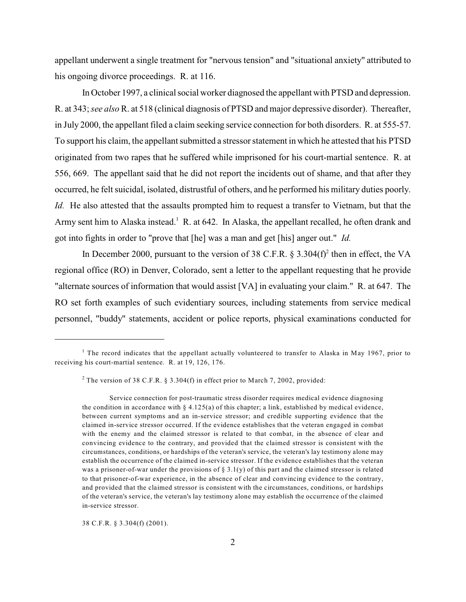appellant underwent a single treatment for "nervous tension" and "situational anxiety" attributed to his ongoing divorce proceedings. R. at 116.

In October 1997, a clinical social worker diagnosed the appellant with PTSD and depression. R. at 343; *see also* R. at 518 (clinical diagnosis of PTSD and major depressive disorder). Thereafter, in July 2000, the appellant filed a claim seeking service connection for both disorders. R. at 555-57. To support his claim, the appellant submitted a stressor statement in which he attested that his PTSD originated from two rapes that he suffered while imprisoned for his court-martial sentence. R. at 556, 669. The appellant said that he did not report the incidents out of shame, and that after they occurred, he felt suicidal, isolated, distrustful of others, and he performed his military duties poorly. *Id.* He also attested that the assaults prompted him to request a transfer to Vietnam, but that the Army sent him to Alaska instead.<sup>1</sup> R. at 642. In Alaska, the appellant recalled, he often drank and got into fights in order to "prove that [he] was a man and get [his] anger out." *Id.*

In December 2000, pursuant to the version of 38 C.F.R.  $\S$  3.304(f)<sup>2</sup> then in effect, the VA regional office (RO) in Denver, Colorado, sent a letter to the appellant requesting that he provide "alternate sources of information that would assist [VA] in evaluating your claim." R. at 647. The RO set forth examples of such evidentiary sources, including statements from service medical personnel, "buddy" statements, accident or police reports, physical examinations conducted for

38 C.F.R. § 3.304(f) (2001).

 $1$  The record indicates that the appellant actually volunteered to transfer to Alaska in May 1967, prior to receiving his court-martial sentence. R. at 19, 126, 176.

<sup>&</sup>lt;sup>2</sup> The version of 38 C.F.R. § 3.304(f) in effect prior to March 7, 2002, provided:

Service connection for post-traumatic stress disorder requires medical evidence diagnosing the condition in accordance with  $\S 4.125(a)$  of this chapter; a link, established by medical evidence, between current symptoms and an in-service stressor; and credible supporting evidence that the claimed in-service stressor occurred. If the evidence establishes that the veteran engaged in combat with the enemy and the claimed stressor is related to that combat, in the absence of clear and convincing evidence to the contrary, and provided that the claimed stressor is consistent with the circumstances, conditions, or hardships of the veteran's service, the veteran's lay testimony alone may establish the occurrence of the claimed in-service stressor. If the evidence establishes that the veteran was a prisoner-of-war under the provisions of  $\S 3.1(y)$  of this part and the claimed stressor is related to that prisoner-of-war experience, in the absence of clear and convincing evidence to the contrary, and provided that the claimed stressor is consistent with the circumstances, conditions, or hardships of the veteran's service, the veteran's lay testimony alone may establish the occurrence of the claimed in-service stressor.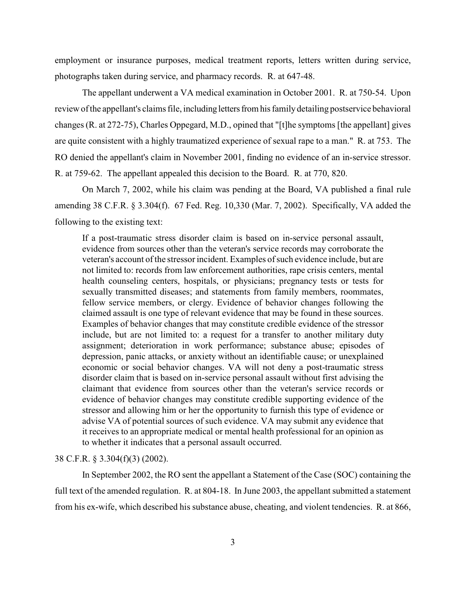employment or insurance purposes, medical treatment reports, letters written during service, photographs taken during service, and pharmacy records. R. at 647-48.

The appellant underwent a VA medical examination in October 2001. R. at 750-54. Upon review of the appellant's claims file, including letters from his family detailing postservice behavioral changes (R. at 272-75), Charles Oppegard, M.D., opined that "[t]he symptoms [the appellant] gives are quite consistent with a highly traumatized experience of sexual rape to a man." R. at 753. The RO denied the appellant's claim in November 2001, finding no evidence of an in-service stressor. R. at 759-62. The appellant appealed this decision to the Board. R. at 770, 820.

On March 7, 2002, while his claim was pending at the Board, VA published a final rule amending 38 C.F.R. § 3.304(f). 67 Fed. Reg. 10,330 (Mar. 7, 2002). Specifically, VA added the following to the existing text:

If a post-traumatic stress disorder claim is based on in-service personal assault, evidence from sources other than the veteran's service records may corroborate the veteran's account of the stressor incident. Examples of such evidence include, but are not limited to: records from law enforcement authorities, rape crisis centers, mental health counseling centers, hospitals, or physicians; pregnancy tests or tests for sexually transmitted diseases; and statements from family members, roommates, fellow service members, or clergy. Evidence of behavior changes following the claimed assault is one type of relevant evidence that may be found in these sources. Examples of behavior changes that may constitute credible evidence of the stressor include, but are not limited to: a request for a transfer to another military duty assignment; deterioration in work performance; substance abuse; episodes of depression, panic attacks, or anxiety without an identifiable cause; or unexplained economic or social behavior changes. VA will not deny a post-traumatic stress disorder claim that is based on in-service personal assault without first advising the claimant that evidence from sources other than the veteran's service records or evidence of behavior changes may constitute credible supporting evidence of the stressor and allowing him or her the opportunity to furnish this type of evidence or advise VA of potential sources of such evidence. VA may submit any evidence that it receives to an appropriate medical or mental health professional for an opinion as to whether it indicates that a personal assault occurred.

### 38 C.F.R. § 3.304(f)(3) (2002).

In September 2002, the RO sent the appellant a Statement of the Case (SOC) containing the full text of the amended regulation. R. at 804-18. In June 2003, the appellant submitted a statement from his ex-wife, which described his substance abuse, cheating, and violent tendencies. R. at 866,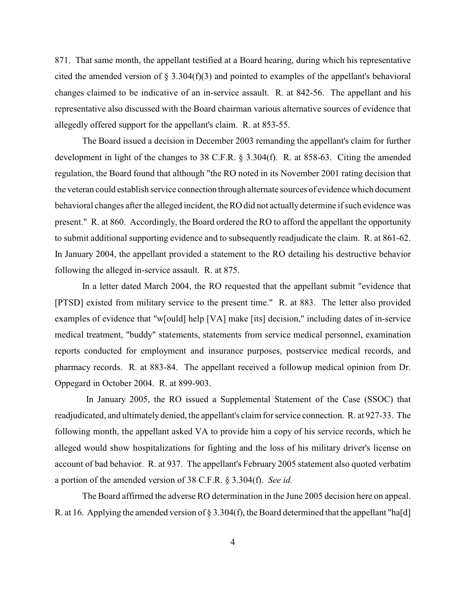871. That same month, the appellant testified at a Board hearing, during which his representative cited the amended version of  $\S$  3.304(f)(3) and pointed to examples of the appellant's behavioral changes claimed to be indicative of an in-service assault. R. at 842-56. The appellant and his representative also discussed with the Board chairman various alternative sources of evidence that allegedly offered support for the appellant's claim. R. at 853-55.

The Board issued a decision in December 2003 remanding the appellant's claim for further development in light of the changes to 38 C.F.R. § 3.304(f). R. at 858-63. Citing the amended regulation, the Board found that although "the RO noted in its November 2001 rating decision that the veteran could establish service connection through alternate sources of evidence which document behavioral changes after the alleged incident, the RO did not actually determine if such evidence was present." R. at 860. Accordingly, the Board ordered the RO to afford the appellant the opportunity to submit additional supporting evidence and to subsequently readjudicate the claim. R. at 861-62. In January 2004, the appellant provided a statement to the RO detailing his destructive behavior following the alleged in-service assault. R. at 875.

In a letter dated March 2004, the RO requested that the appellant submit "evidence that [PTSD] existed from military service to the present time." R. at 883. The letter also provided examples of evidence that "w[ould] help [VA] make [its] decision," including dates of in-service medical treatment, "buddy" statements, statements from service medical personnel, examination reports conducted for employment and insurance purposes, postservice medical records, and pharmacy records. R. at 883-84. The appellant received a followup medical opinion from Dr. Oppegard in October 2004. R. at 899-903.

 In January 2005, the RO issued a Supplemental Statement of the Case (SSOC) that readjudicated, and ultimately denied, the appellant's claim for service connection. R. at 927-33. The following month, the appellant asked VA to provide him a copy of his service records, which he alleged would show hospitalizations for fighting and the loss of his military driver's license on account of bad behavior. R. at 937. The appellant's February 2005 statement also quoted verbatim a portion of the amended version of 38 C.F.R. § 3.304(f). *See id.*

The Board affirmed the adverse RO determination in the June 2005 decision here on appeal. R. at 16. Applying the amended version of § 3.304(f), the Board determined that the appellant "ha[d]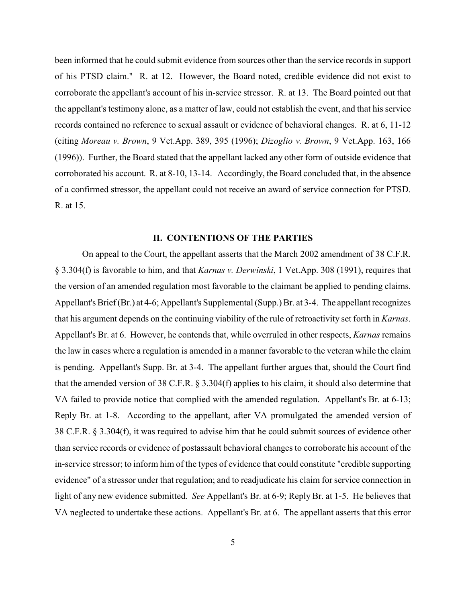been informed that he could submit evidence from sources other than the service records in support of his PTSD claim." R. at 12. However, the Board noted, credible evidence did not exist to corroborate the appellant's account of his in-service stressor. R. at 13. The Board pointed out that the appellant's testimony alone, as a matter of law, could not establish the event, and that his service records contained no reference to sexual assault or evidence of behavioral changes. R. at 6, 11-12 (citing *Moreau v. Brown*, 9 Vet.App. 389, 395 (1996); *Dizoglio v. Brown*, 9 Vet.App. 163, 166 (1996)). Further, the Board stated that the appellant lacked any other form of outside evidence that corroborated his account. R. at 8-10, 13-14. Accordingly, the Board concluded that, in the absence of a confirmed stressor, the appellant could not receive an award of service connection for PTSD. R. at 15.

# **II. CONTENTIONS OF THE PARTIES**

On appeal to the Court, the appellant asserts that the March 2002 amendment of 38 C.F.R. § 3.304(f) is favorable to him, and that *Karnas v. Derwinski*, 1 Vet.App. 308 (1991), requires that the version of an amended regulation most favorable to the claimant be applied to pending claims. Appellant's Brief (Br.) at 4-6; Appellant's Supplemental (Supp.) Br. at 3-4. The appellant recognizes that his argument depends on the continuing viability of the rule of retroactivity set forth in *Karnas*. Appellant's Br. at 6. However, he contends that, while overruled in other respects, *Karnas* remains the law in cases where a regulation is amended in a manner favorable to the veteran while the claim is pending. Appellant's Supp. Br. at 3-4. The appellant further argues that, should the Court find that the amended version of 38 C.F.R. § 3.304(f) applies to his claim, it should also determine that VA failed to provide notice that complied with the amended regulation. Appellant's Br. at 6-13; Reply Br. at 1-8. According to the appellant, after VA promulgated the amended version of 38 C.F.R. § 3.304(f), it was required to advise him that he could submit sources of evidence other than service records or evidence of postassault behavioral changes to corroborate his account of the in-service stressor; to inform him of the types of evidence that could constitute "credible supporting evidence" of a stressor under that regulation; and to readjudicate his claim for service connection in light of any new evidence submitted. *See* Appellant's Br. at 6-9; Reply Br. at 1-5. He believes that VA neglected to undertake these actions. Appellant's Br. at 6. The appellant asserts that this error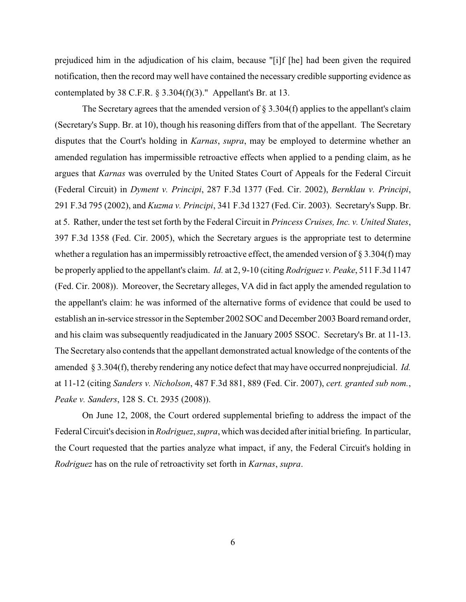prejudiced him in the adjudication of his claim, because "[i]f [he] had been given the required notification, then the record may well have contained the necessary credible supporting evidence as contemplated by 38 C.F.R.  $\S$  3.304(f)(3)." Appellant's Br. at 13.

The Secretary agrees that the amended version of  $\S 3.304(f)$  applies to the appellant's claim (Secretary's Supp. Br. at 10), though his reasoning differs from that of the appellant. The Secretary disputes that the Court's holding in *Karnas*, *supra*, may be employed to determine whether an amended regulation has impermissible retroactive effects when applied to a pending claim, as he argues that *Karnas* was overruled by the United States Court of Appeals for the Federal Circuit (Federal Circuit) in *Dyment v. Principi*, 287 F.3d 1377 (Fed. Cir. 2002), *Bernklau v. Principi*, 291 F.3d 795 (2002), and *Kuzma v. Principi*, 341 F.3d 1327 (Fed. Cir. 2003). Secretary's Supp. Br. at 5. Rather, under the test set forth by the Federal Circuit in *Princess Cruises, Inc. v. United States*, 397 F.3d 1358 (Fed. Cir. 2005), which the Secretary argues is the appropriate test to determine whether a regulation has an impermissibly retroactive effect, the amended version of § 3.304(f) may be properly applied to the appellant's claim. *Id.* at 2, 9-10 (citing *Rodriguez v. Peake*, 511 F.3d 1147 (Fed. Cir. 2008)). Moreover, the Secretary alleges, VA did in fact apply the amended regulation to the appellant's claim: he was informed of the alternative forms of evidence that could be used to establish an in-service stressor in the September 2002 SOC and December 2003 Board remand order, and his claim was subsequently readjudicated in the January 2005 SSOC. Secretary's Br. at 11-13. The Secretary also contends that the appellant demonstrated actual knowledge of the contents of the amended § 3.304(f), thereby rendering any notice defect that may have occurred nonprejudicial. *Id.* at 11-12 (citing *Sanders v. Nicholson*, 487 F.3d 881, 889 (Fed. Cir. 2007), *cert. granted sub nom.*, *Peake v. Sanders*, 128 S. Ct. 2935 (2008)).

On June 12, 2008, the Court ordered supplemental briefing to address the impact of the Federal Circuit's decision in *Rodriguez*, *supra*, which was decided after initial briefing. In particular, the Court requested that the parties analyze what impact, if any, the Federal Circuit's holding in *Rodriguez* has on the rule of retroactivity set forth in *Karnas*, *supra*.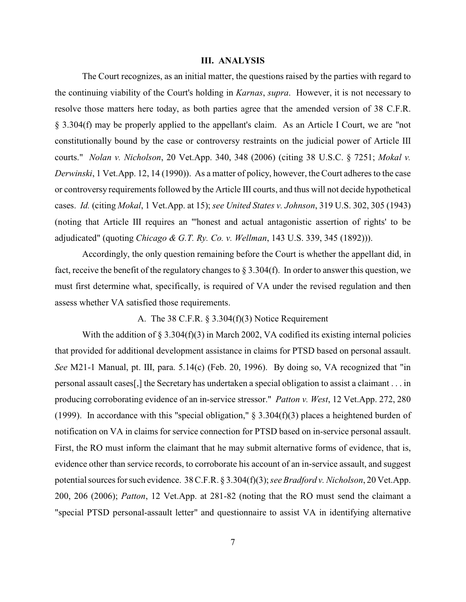#### **III. ANALYSIS**

The Court recognizes, as an initial matter, the questions raised by the parties with regard to the continuing viability of the Court's holding in *Karnas*, *supra*. However, it is not necessary to resolve those matters here today, as both parties agree that the amended version of 38 C.F.R. § 3.304(f) may be properly applied to the appellant's claim. As an Article I Court, we are "not constitutionally bound by the case or controversy restraints on the judicial power of Article III courts." *Nolan v. Nicholson*, 20 Vet.App. 340, 348 (2006) (citing 38 U.S.C. § 7251; *Mokal v. Derwinski*, 1 Vet.App. 12, 14 (1990)). As a matter of policy, however, the Court adheres to the case or controversy requirements followed by the Article III courts, and thus will not decide hypothetical cases. *Id.* (citing *Mokal*, 1 Vet.App. at 15); *see United States v. Johnson*, 319 U.S. 302, 305 (1943) (noting that Article III requires an "'honest and actual antagonistic assertion of rights' to be adjudicated" (quoting *Chicago & G.T. Ry. Co. v. Wellman*, 143 U.S. 339, 345 (1892))).

Accordingly, the only question remaining before the Court is whether the appellant did, in fact, receive the benefit of the regulatory changes to  $\S 3.304(f)$ . In order to answer this question, we must first determine what, specifically, is required of VA under the revised regulation and then assess whether VA satisfied those requirements.

## A. The 38 C.F.R. § 3.304(f)(3) Notice Requirement

With the addition of  $\S 3.304(f)(3)$  in March 2002, VA codified its existing internal policies that provided for additional development assistance in claims for PTSD based on personal assault. *See* M21-1 Manual, pt. III, para. 5.14(c) (Feb. 20, 1996). By doing so, VA recognized that "in personal assault cases[,] the Secretary has undertaken a special obligation to assist a claimant . . . in producing corroborating evidence of an in-service stressor." *Patton v. West*, 12 Vet.App. 272, 280 (1999). In accordance with this "special obligation,"  $\S$  3.304(f)(3) places a heightened burden of notification on VA in claims for service connection for PTSD based on in-service personal assault. First, the RO must inform the claimant that he may submit alternative forms of evidence, that is, evidence other than service records, to corroborate his account of an in-service assault, and suggest potential sources for such evidence. 38 C.F.R. § 3.304(f)(3); *see Bradford v. Nicholson*, 20 Vet.App. 200, 206 (2006); *Patton*, 12 Vet.App. at 281-82 (noting that the RO must send the claimant a "special PTSD personal-assault letter" and questionnaire to assist VA in identifying alternative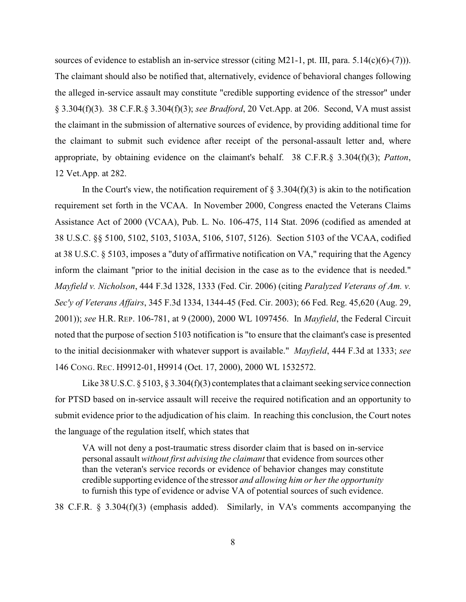sources of evidence to establish an in-service stressor (citing M21-1, pt. III, para. 5.14(c)(6)-(7))). The claimant should also be notified that, alternatively, evidence of behavioral changes following the alleged in-service assault may constitute "credible supporting evidence of the stressor" under § 3.304(f)(3). 38 C.F.R.§ 3.304(f)(3); *see Bradford*, 20 Vet.App. at 206. Second, VA must assist the claimant in the submission of alternative sources of evidence, by providing additional time for the claimant to submit such evidence after receipt of the personal-assault letter and, where appropriate, by obtaining evidence on the claimant's behalf. 38 C.F.R.§ 3.304(f)(3); *Patton*, 12 Vet.App. at 282.

In the Court's view, the notification requirement of  $\S 3.304(f)(3)$  is akin to the notification requirement set forth in the VCAA. In November 2000, Congress enacted the Veterans Claims Assistance Act of 2000 (VCAA), Pub. L. No. 106-475, 114 Stat. 2096 (codified as amended at 38 U.S.C. §§ 5100, 5102, 5103, 5103A, 5106, 5107, 5126). Section 5103 of the VCAA, codified at 38 U.S.C. § 5103, imposes a "duty of affirmative notification on VA," requiring that the Agency inform the claimant "prior to the initial decision in the case as to the evidence that is needed." *Mayfield v. Nicholson*, 444 F.3d 1328, 1333 (Fed. Cir. 2006) (citing *Paralyzed Veterans of Am. v. Sec'y of Veterans Affairs*, 345 F.3d 1334, 1344-45 (Fed. Cir. 2003); 66 Fed. Reg. 45,620 (Aug. 29, 2001)); *see* H.R. REP. 106-781, at 9 (2000), 2000 WL 1097456. In *Mayfield*, the Federal Circuit noted that the purpose of section 5103 notification is "to ensure that the claimant's case is presented to the initial decisionmaker with whatever support is available." *Mayfield*, 444 F.3d at 1333; *see* 146 CONG. REC. H9912-01, H9914 (Oct. 17, 2000), 2000 WL 1532572.

Like 38 U.S.C.  $\S 5103$ ,  $\S 3.304(f)(3)$  contemplates that a claimant seeking service connection for PTSD based on in-service assault will receive the required notification and an opportunity to submit evidence prior to the adjudication of his claim. In reaching this conclusion, the Court notes the language of the regulation itself, which states that

VA will not deny a post-traumatic stress disorder claim that is based on in-service personal assault *without first advising the claimant* that evidence from sources other than the veteran's service records or evidence of behavior changes may constitute credible supporting evidence of the stressor *and allowing him or her the opportunity* to furnish this type of evidence or advise VA of potential sources of such evidence.

38 C.F.R. § 3.304(f)(3) (emphasis added). Similarly, in VA's comments accompanying the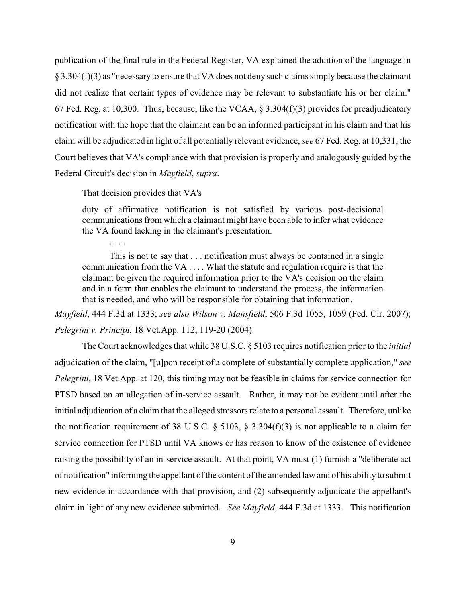publication of the final rule in the Federal Register, VA explained the addition of the language in § 3.304(f)(3) as "necessary to ensure that VA does not deny such claims simply because the claimant did not realize that certain types of evidence may be relevant to substantiate his or her claim." 67 Fed. Reg. at 10,300. Thus, because, like the VCAA, § 3.304(f)(3) provides for preadjudicatory notification with the hope that the claimant can be an informed participant in his claim and that his claim will be adjudicated in light of all potentially relevant evidence, *see* 67 Fed. Reg. at 10,331, the Court believes that VA's compliance with that provision is properly and analogously guided by the Federal Circuit's decision in *Mayfield*, *supra*.

That decision provides that VA's

. . . .

duty of affirmative notification is not satisfied by various post-decisional communications from which a claimant might have been able to infer what evidence the VA found lacking in the claimant's presentation.

This is not to say that . . . notification must always be contained in a single communication from the VA . . . . What the statute and regulation require is that the claimant be given the required information prior to the VA's decision on the claim and in a form that enables the claimant to understand the process, the information that is needed, and who will be responsible for obtaining that information.

*Mayfield*, 444 F.3d at 1333; *see also Wilson v. Mansfield*, 506 F.3d 1055, 1059 (Fed. Cir. 2007); *Pelegrini v. Principi*, 18 Vet.App. 112, 119-20 (2004).

The Court acknowledges that while 38 U.S.C. § 5103 requires notification prior to the *initial* adjudication of the claim, "[u]pon receipt of a complete of substantially complete application," *see Pelegrini*, 18 Vet.App. at 120, this timing may not be feasible in claims for service connection for PTSD based on an allegation of in-service assault. Rather, it may not be evident until after the initial adjudication of a claim that the alleged stressors relate to a personal assault. Therefore, unlike the notification requirement of 38 U.S.C.  $\S$  5103,  $\S$  3.304(f)(3) is not applicable to a claim for service connection for PTSD until VA knows or has reason to know of the existence of evidence raising the possibility of an in-service assault. At that point, VA must (1) furnish a "deliberate act of notification" informing the appellant of the content of the amended law and of his ability to submit new evidence in accordance with that provision, and (2) subsequently adjudicate the appellant's claim in light of any new evidence submitted. *See Mayfield*, 444 F.3d at 1333. This notification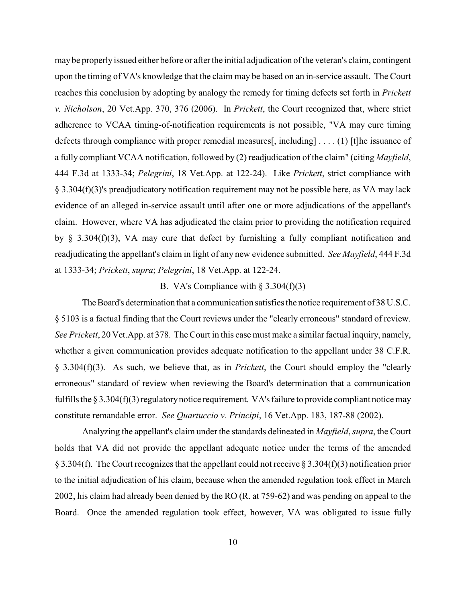may be properly issued either before or after the initial adjudication of the veteran's claim, contingent upon the timing of VA's knowledge that the claim may be based on an in-service assault. The Court reaches this conclusion by adopting by analogy the remedy for timing defects set forth in *Prickett v. Nicholson*, 20 Vet.App. 370, 376 (2006). In *Prickett*, the Court recognized that, where strict adherence to VCAA timing-of-notification requirements is not possible, "VA may cure timing defects through compliance with proper remedial measures[, including] . . . . (1) [t]he issuance of a fully compliant VCAA notification, followed by (2) readjudication of the claim" (citing *Mayfield*, 444 F.3d at 1333-34; *Pelegrini*, 18 Vet.App. at 122-24). Like *Prickett*, strict compliance with § 3.304(f)(3)'s preadjudicatory notification requirement may not be possible here, as VA may lack evidence of an alleged in-service assault until after one or more adjudications of the appellant's claim. However, where VA has adjudicated the claim prior to providing the notification required by § 3.304(f)(3), VA may cure that defect by furnishing a fully compliant notification and readjudicating the appellant's claim in light of any new evidence submitted. *See Mayfield*, 444 F.3d at 1333-34; *Prickett*, *supra*; *Pelegrini*, 18 Vet.App. at 122-24.

### B. VA's Compliance with  $\S 3.304(f)(3)$

The Board's determination that a communication satisfies the notice requirement of 38 U.S.C. § 5103 is a factual finding that the Court reviews under the "clearly erroneous" standard of review. *See Prickett*, 20 Vet.App. at 378. The Court in this case must make a similar factual inquiry, namely, whether a given communication provides adequate notification to the appellant under 38 C.F.R. § 3.304(f)(3). As such, we believe that, as in *Prickett*, the Court should employ the "clearly erroneous" standard of review when reviewing the Board's determination that a communication fulfills the  $\S 3.304(f)(3)$  regulatory notice requirement. VA's failure to provide compliant notice may constitute remandable error. *See Quartuccio v. Principi*, 16 Vet.App. 183, 187-88 (2002).

Analyzing the appellant's claim under the standards delineated in *Mayfield*, *supra*, the Court holds that VA did not provide the appellant adequate notice under the terms of the amended § 3.304(f). The Court recognizes that the appellant could not receive § 3.304(f)(3) notification prior to the initial adjudication of his claim, because when the amended regulation took effect in March 2002, his claim had already been denied by the RO (R. at 759-62) and was pending on appeal to the Board. Once the amended regulation took effect, however, VA was obligated to issue fully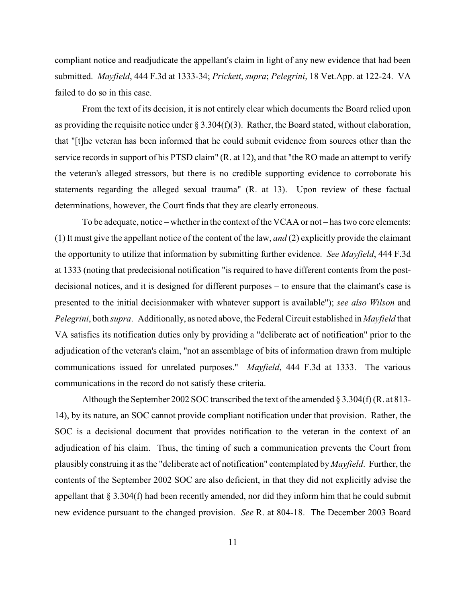compliant notice and readjudicate the appellant's claim in light of any new evidence that had been submitted. *Mayfield*, 444 F.3d at 1333-34; *Prickett*, *supra*; *Pelegrini*, 18 Vet.App. at 122-24. VA failed to do so in this case.

From the text of its decision, it is not entirely clear which documents the Board relied upon as providing the requisite notice under  $\S 3.304(f)(3)$ . Rather, the Board stated, without elaboration, that "[t]he veteran has been informed that he could submit evidence from sources other than the service records in support of his PTSD claim" (R. at 12), and that "the RO made an attempt to verify the veteran's alleged stressors, but there is no credible supporting evidence to corroborate his statements regarding the alleged sexual trauma" (R. at 13). Upon review of these factual determinations, however, the Court finds that they are clearly erroneous.

To be adequate, notice – whether in the context of the VCAA or not – has two core elements: (1) It must give the appellant notice of the content of the law, *and* (2) explicitly provide the claimant the opportunity to utilize that information by submitting further evidence. *See Mayfield*, 444 F.3d at 1333 (noting that predecisional notification "is required to have different contents from the postdecisional notices, and it is designed for different purposes – to ensure that the claimant's case is presented to the initial decisionmaker with whatever support is available"); *see also Wilson* and *Pelegrini*, both *supra*. Additionally, as noted above, the Federal Circuit established in *Mayfield* that VA satisfies its notification duties only by providing a "deliberate act of notification" prior to the adjudication of the veteran's claim, "not an assemblage of bits of information drawn from multiple communications issued for unrelated purposes." *Mayfield*, 444 F.3d at 1333. The various communications in the record do not satisfy these criteria.

Although the September 2002 SOC transcribed the text of the amended  $\S 3.304(f)$  (R. at 813-14), by its nature, an SOC cannot provide compliant notification under that provision. Rather, the SOC is a decisional document that provides notification to the veteran in the context of an adjudication of his claim. Thus, the timing of such a communication prevents the Court from plausibly construing it as the "deliberate act of notification" contemplated by *Mayfield*. Further, the contents of the September 2002 SOC are also deficient, in that they did not explicitly advise the appellant that § 3.304(f) had been recently amended, nor did they inform him that he could submit new evidence pursuant to the changed provision. *See* R. at 804-18. The December 2003 Board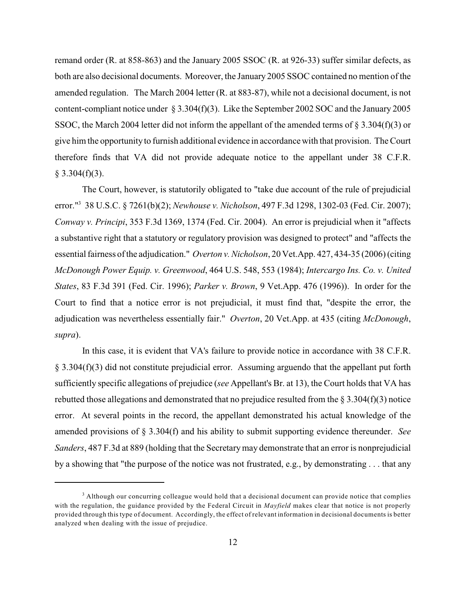remand order (R. at 858-863) and the January 2005 SSOC (R. at 926-33) suffer similar defects, as both are also decisional documents. Moreover, the January 2005 SSOC contained no mention of the amended regulation. The March 2004 letter (R. at 883-87), while not a decisional document, is not content-compliant notice under § 3.304(f)(3). Like the September 2002 SOC and the January 2005 SSOC, the March 2004 letter did not inform the appellant of the amended terms of § 3.304(f)(3) or give him the opportunity to furnish additional evidence in accordancewith that provision. The Court therefore finds that VA did not provide adequate notice to the appellant under 38 C.F.R.  $§$  3.304(f)(3).

The Court, however, is statutorily obligated to "take due account of the rule of prejudicial error."<sup>3</sup> 38 U.S.C. § 7261(b)(2); *Newhouse v. Nicholson*, 497 F.3d 1298, 1302-03 (Fed. Cir. 2007); *Conway v. Principi*, 353 F.3d 1369, 1374 (Fed. Cir. 2004). An error is prejudicial when it "affects a substantive right that a statutory or regulatory provision was designed to protect" and "affects the essential fairness of the adjudication." *Overton v. Nicholson*, 20 Vet.App. 427, 434-35 (2006) (citing *McDonough Power Equip. v. Greenwood*, 464 U.S. 548, 553 (1984); *Intercargo Ins. Co. v. United States*, 83 F.3d 391 (Fed. Cir. 1996); *Parker v. Brown*, 9 Vet.App. 476 (1996)). In order for the Court to find that a notice error is not prejudicial, it must find that, "despite the error, the adjudication was nevertheless essentially fair." *Overton*, 20 Vet.App. at 435 (citing *McDonough*, *supra*).

In this case, it is evident that VA's failure to provide notice in accordance with 38 C.F.R. § 3.304(f)(3) did not constitute prejudicial error. Assuming arguendo that the appellant put forth sufficiently specific allegations of prejudice (*see* Appellant's Br. at 13), the Court holds that VA has rebutted those allegations and demonstrated that no prejudice resulted from the  $\S 3.304(f)(3)$  notice error. At several points in the record, the appellant demonstrated his actual knowledge of the amended provisions of § 3.304(f) and his ability to submit supporting evidence thereunder. *See Sanders*, 487 F.3d at 889 (holding that the Secretarymay demonstrate that an error is nonprejudicial by a showing that "the purpose of the notice was not frustrated, e.g., by demonstrating . . . that any

<sup>&</sup>lt;sup>3</sup> Although our concurring colleague would hold that a decisional document can provide notice that complies with the regulation, the guidance provided by the Federal Circuit in *Mayfield* makes clear that notice is not properly provided through this type of document. Accordingly, the effect of relevant information in decisional documents is better analyzed when dealing with the issue of prejudice.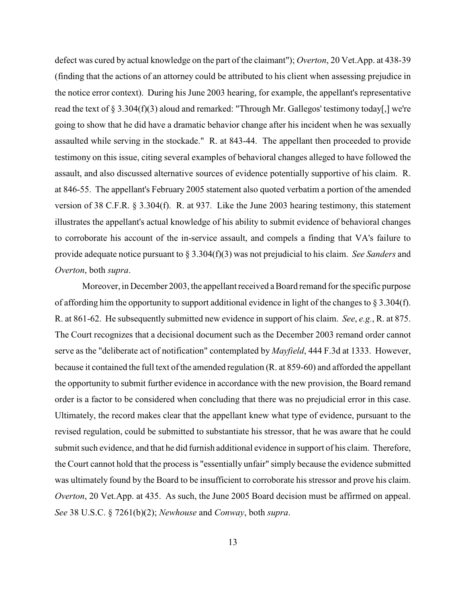defect was cured by actual knowledge on the part of the claimant"); *Overton*, 20 Vet.App. at 438-39 (finding that the actions of an attorney could be attributed to his client when assessing prejudice in the notice error context). During his June 2003 hearing, for example, the appellant's representative read the text of § 3.304(f)(3) aloud and remarked: "Through Mr. Gallegos' testimony today[,] we're going to show that he did have a dramatic behavior change after his incident when he was sexually assaulted while serving in the stockade." R. at 843-44. The appellant then proceeded to provide testimony on this issue, citing several examples of behavioral changes alleged to have followed the assault, and also discussed alternative sources of evidence potentially supportive of his claim. R. at 846-55. The appellant's February 2005 statement also quoted verbatim a portion of the amended version of 38 C.F.R. § 3.304(f). R. at 937. Like the June 2003 hearing testimony, this statement illustrates the appellant's actual knowledge of his ability to submit evidence of behavioral changes to corroborate his account of the in-service assault, and compels a finding that VA's failure to provide adequate notice pursuant to § 3.304(f)(3) was not prejudicial to his claim. *See Sanders* and *Overton*, both *supra*.

Moreover, in December 2003, the appellant received a Board remand for the specific purpose of affording him the opportunity to support additional evidence in light of the changes to  $\S 3.304(f)$ . R. at 861-62. He subsequently submitted new evidence in support of his claim. *See*, *e.g.*, R. at 875. The Court recognizes that a decisional document such as the December 2003 remand order cannot serve as the "deliberate act of notification" contemplated by *Mayfield*, 444 F.3d at 1333. However, because it contained the full text of the amended regulation (R. at 859-60) and afforded the appellant the opportunity to submit further evidence in accordance with the new provision, the Board remand order is a factor to be considered when concluding that there was no prejudicial error in this case. Ultimately, the record makes clear that the appellant knew what type of evidence, pursuant to the revised regulation, could be submitted to substantiate his stressor, that he was aware that he could submit such evidence, and that he did furnish additional evidence in support of his claim. Therefore, the Court cannot hold that the process is "essentially unfair" simply because the evidence submitted was ultimately found by the Board to be insufficient to corroborate his stressor and prove his claim. *Overton*, 20 Vet.App. at 435. As such, the June 2005 Board decision must be affirmed on appeal. *See* 38 U.S.C. § 7261(b)(2); *Newhouse* and *Conway*, both *supra*.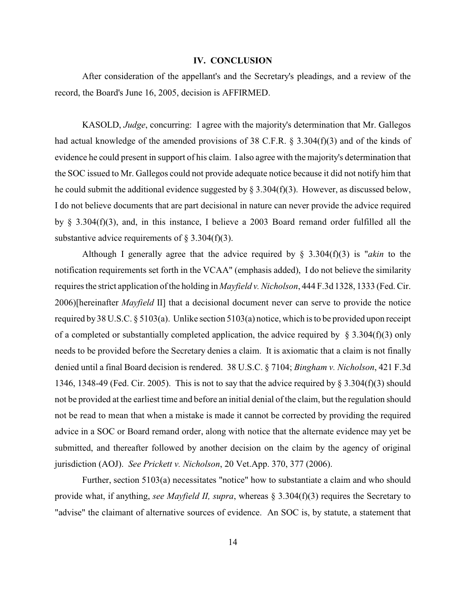#### **IV. CONCLUSION**

After consideration of the appellant's and the Secretary's pleadings, and a review of the record, the Board's June 16, 2005, decision is AFFIRMED.

KASOLD, *Judge*, concurring: I agree with the majority's determination that Mr. Gallegos had actual knowledge of the amended provisions of 38 C.F.R. § 3.304(f)(3) and of the kinds of evidence he could present in support of his claim. I also agree with the majority's determination that the SOC issued to Mr. Gallegos could not provide adequate notice because it did not notify him that he could submit the additional evidence suggested by  $\S 3.304(f)(3)$ . However, as discussed below, I do not believe documents that are part decisional in nature can never provide the advice required by § 3.304(f)(3), and, in this instance, I believe a 2003 Board remand order fulfilled all the substantive advice requirements of  $\S$  3.304(f)(3).

Although I generally agree that the advice required by § 3.304(f)(3) is "*akin* to the notification requirements set forth in the VCAA" (emphasis added), I do not believe the similarity requires the strict application of the holding in *Mayfield v. Nicholson*, 444 F.3d 1328, 1333 (Fed. Cir. 2006)[hereinafter *Mayfield* II] that a decisional document never can serve to provide the notice required by 38 U.S.C.  $\S 5103(a)$ . Unlike section  $5103(a)$  notice, which is to be provided upon receipt of a completed or substantially completed application, the advice required by  $\S$  3.304(f)(3) only needs to be provided before the Secretary denies a claim. It is axiomatic that a claim is not finally denied until a final Board decision is rendered. 38 U.S.C. § 7104; *Bingham v. Nicholson*, 421 F.3d 1346, 1348-49 (Fed. Cir. 2005). This is not to say that the advice required by  $\S 3.304(f)(3)$  should not be provided at the earliest time and before an initial denial of the claim, but the regulation should not be read to mean that when a mistake is made it cannot be corrected by providing the required advice in a SOC or Board remand order, along with notice that the alternate evidence may yet be submitted, and thereafter followed by another decision on the claim by the agency of original jurisdiction (AOJ). *See Prickett v. Nicholson*, 20 Vet.App. 370, 377 (2006).

Further, section 5103(a) necessitates "notice" how to substantiate a claim and who should provide what, if anything, *see Mayfield II, supra*, whereas § 3.304(f)(3) requires the Secretary to "advise" the claimant of alternative sources of evidence. An SOC is, by statute, a statement that